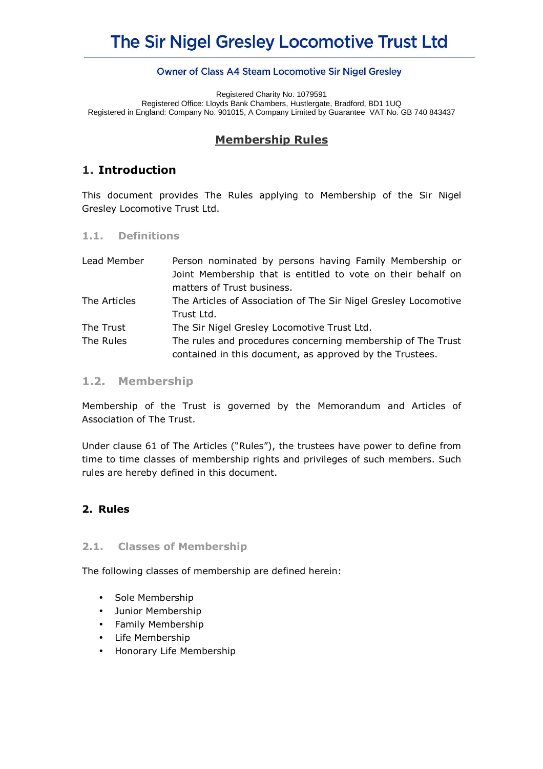# The Sir Nigel Gresley Locomotive Trust Ltd

#### Owner of Class A4 Steam Locomotive Sir Nigel Gresley

Registered Charity No. 1079591 Registered Office: Lloyds Bank Chambers, Hustlergate, Bradford, BD1 1UQ Registered in England: Company No. 901015, A Company Limited by Guarantee VAT No. GB 740 843437

## **Membership Rules**

## **1. Introduction**

This document provides The Rules applying to Membership of the Sir Nigel Gresley Locomotive Trust Ltd.

#### **1.1. Definitions**

| Lead Member  | Person nominated by persons having Family Membership or         |  |  |
|--------------|-----------------------------------------------------------------|--|--|
|              | Joint Membership that is entitled to vote on their behalf on    |  |  |
|              | matters of Trust business.                                      |  |  |
| The Articles | The Articles of Association of The Sir Nigel Gresley Locomotive |  |  |
|              | Trust Ltd.                                                      |  |  |
| The Trust    | The Sir Nigel Gresley Locomotive Trust Ltd.                     |  |  |
| The Rules    | The rules and procedures concerning membership of The Trust     |  |  |
|              | contained in this document, as approved by the Trustees.        |  |  |

### **1.2. Membership**

Membership of the Trust is governed by the Memorandum and Articles of Association of The Trust.

Under clause 61 of The Articles ("Rules"), the trustees have power to define from time to time classes of membership rights and privileges of such members. Such rules are hereby defined in this document.

## **2. Rules**

#### **2.1. Classes of Membership**

The following classes of membership are defined herein:

- Sole Membership
- Junior Membership
- Family Membership
- Life Membership
- Honorary Life Membership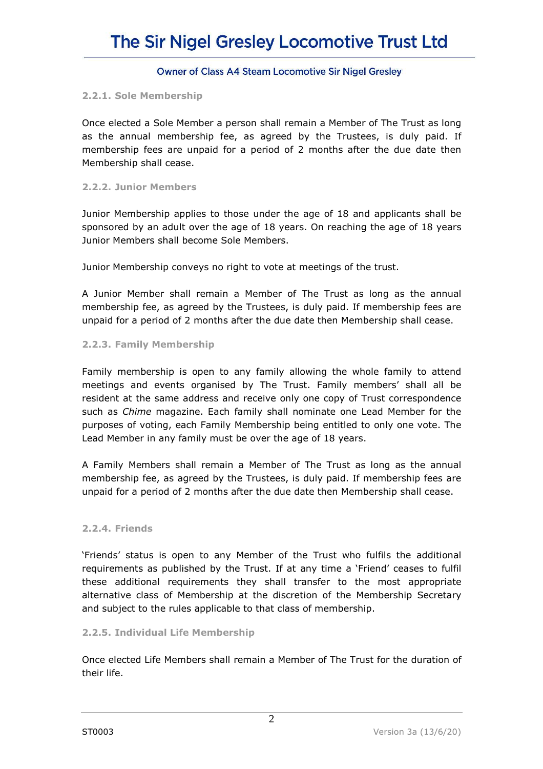## **Owner of Class A4 Steam Locomotive Sir Nigel Gresley**

#### **2.2.1. Sole Membership**

Once elected a Sole Member a person shall remain a Member of The Trust as long as the annual membership fee, as agreed by the Trustees, is duly paid. If membership fees are unpaid for a period of 2 months after the due date then Membership shall cease.

#### **2.2.2. Junior Members**

Junior Membership applies to those under the age of 18 and applicants shall be sponsored by an adult over the age of 18 years. On reaching the age of 18 years Junior Members shall become Sole Members.

Junior Membership conveys no right to vote at meetings of the trust.

A Junior Member shall remain a Member of The Trust as long as the annual membership fee, as agreed by the Trustees, is duly paid. If membership fees are unpaid for a period of 2 months after the due date then Membership shall cease.

#### **2.2.3. Family Membership**

Family membership is open to any family allowing the whole family to attend meetings and events organised by The Trust. Family members' shall all be resident at the same address and receive only one copy of Trust correspondence such as *Chime* magazine. Each family shall nominate one Lead Member for the purposes of voting, each Family Membership being entitled to only one vote. The Lead Member in any family must be over the age of 18 years.

A Family Members shall remain a Member of The Trust as long as the annual membership fee, as agreed by the Trustees, is duly paid. If membership fees are unpaid for a period of 2 months after the due date then Membership shall cease.

#### **2.2.4. Friends**

'Friends' status is open to any Member of the Trust who fulfils the additional requirements as published by the Trust. If at any time a 'Friend' ceases to fulfil these additional requirements they shall transfer to the most appropriate alternative class of Membership at the discretion of the Membership Secretary and subject to the rules applicable to that class of membership.

#### **2.2.5. Individual Life Membership**

Once elected Life Members shall remain a Member of The Trust for the duration of their life.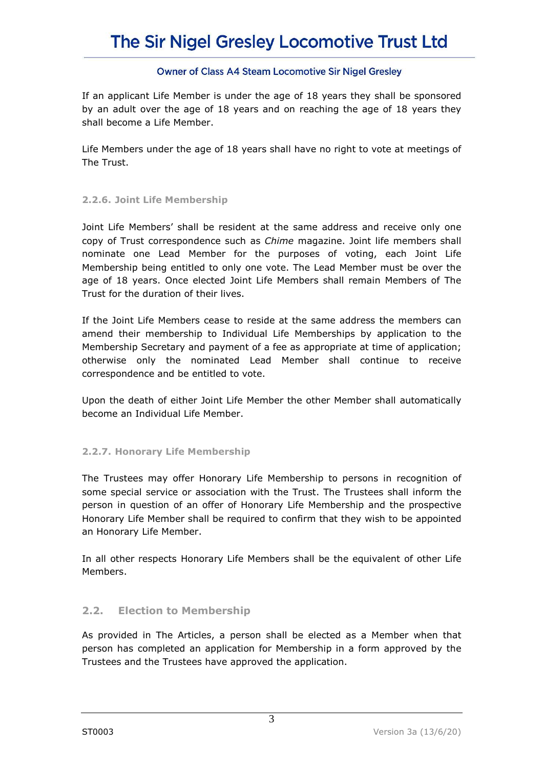# The Sir Nigel Gresley Locomotive Trust Ltd

## **Owner of Class A4 Steam Locomotive Sir Nigel Gresley**

If an applicant Life Member is under the age of 18 years they shall be sponsored by an adult over the age of 18 years and on reaching the age of 18 years they shall become a Life Member.

Life Members under the age of 18 years shall have no right to vote at meetings of The Trust.

### **2.2.6. Joint Life Membership**

Joint Life Members' shall be resident at the same address and receive only one copy of Trust correspondence such as *Chime* magazine. Joint life members shall nominate one Lead Member for the purposes of voting, each Joint Life Membership being entitled to only one vote. The Lead Member must be over the age of 18 years. Once elected Joint Life Members shall remain Members of The Trust for the duration of their lives.

If the Joint Life Members cease to reside at the same address the members can amend their membership to Individual Life Memberships by application to the Membership Secretary and payment of a fee as appropriate at time of application; otherwise only the nominated Lead Member shall continue to receive correspondence and be entitled to vote.

Upon the death of either Joint Life Member the other Member shall automatically become an Individual Life Member.

## **2.2.7. Honorary Life Membership**

The Trustees may offer Honorary Life Membership to persons in recognition of some special service or association with the Trust. The Trustees shall inform the person in question of an offer of Honorary Life Membership and the prospective Honorary Life Member shall be required to confirm that they wish to be appointed an Honorary Life Member.

In all other respects Honorary Life Members shall be the equivalent of other Life Members.

## **2.2. Election to Membership**

As provided in The Articles, a person shall be elected as a Member when that person has completed an application for Membership in a form approved by the Trustees and the Trustees have approved the application.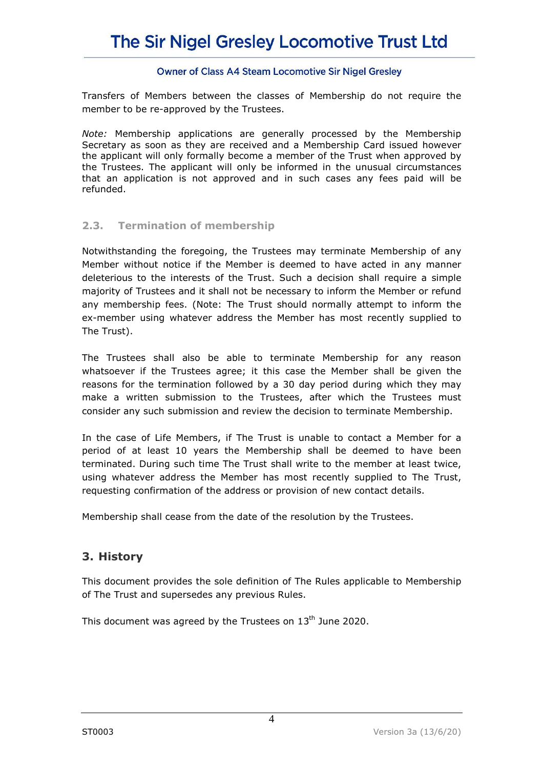## **Owner of Class A4 Steam Locomotive Sir Nigel Gresley**

Transfers of Members between the classes of Membership do not require the member to be re-approved by the Trustees.

*Note:* Membership applications are generally processed by the Membership Secretary as soon as they are received and a Membership Card issued however the applicant will only formally become a member of the Trust when approved by the Trustees. The applicant will only be informed in the unusual circumstances that an application is not approved and in such cases any fees paid will be refunded.

## **2.3. Termination of membership**

Notwithstanding the foregoing, the Trustees may terminate Membership of any Member without notice if the Member is deemed to have acted in any manner deleterious to the interests of the Trust. Such a decision shall require a simple majority of Trustees and it shall not be necessary to inform the Member or refund any membership fees. (Note: The Trust should normally attempt to inform the ex-member using whatever address the Member has most recently supplied to The Trust).

The Trustees shall also be able to terminate Membership for any reason whatsoever if the Trustees agree; it this case the Member shall be given the reasons for the termination followed by a 30 day period during which they may make a written submission to the Trustees, after which the Trustees must consider any such submission and review the decision to terminate Membership.

In the case of Life Members, if The Trust is unable to contact a Member for a period of at least 10 years the Membership shall be deemed to have been terminated. During such time The Trust shall write to the member at least twice, using whatever address the Member has most recently supplied to The Trust, requesting confirmation of the address or provision of new contact details.

Membership shall cease from the date of the resolution by the Trustees.

## **3. History**

This document provides the sole definition of The Rules applicable to Membership of The Trust and supersedes any previous Rules.

This document was agreed by the Trustees on  $13<sup>th</sup>$  June 2020.